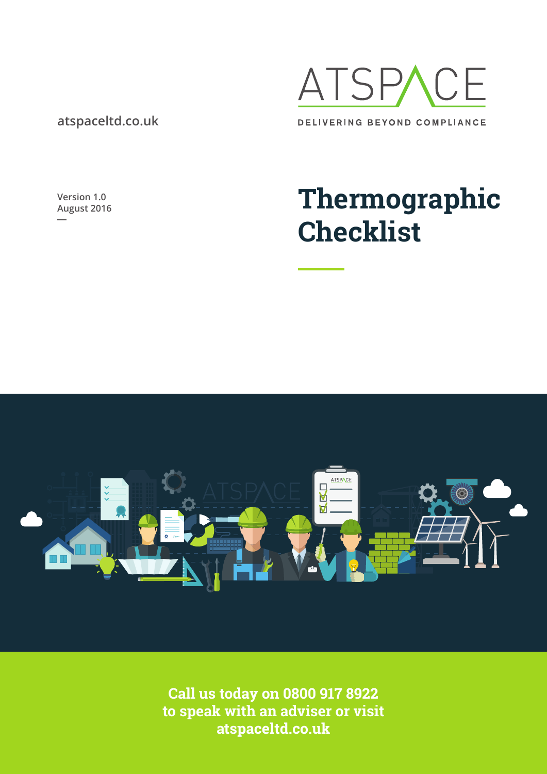### **atspaceltd.co.uk**

ATSP/ ?F DELIVERING BEYOND COMPLIANCE

**Version 1.0**

# **Thermographic Checklist**



**Call us today on 0800 917 8922 to speak with an adviser or visit atspaceltd.co.uk**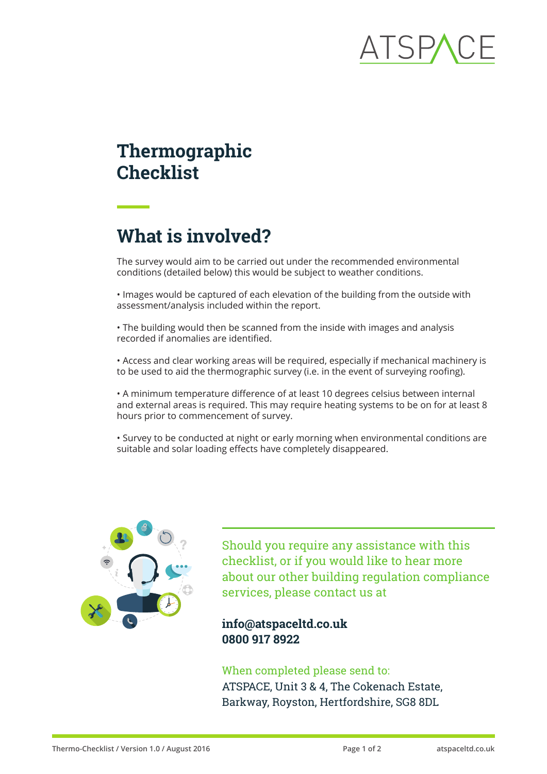### **Thermographic Checklist**

## **What is involved?**

The survey would aim to be carried out under the recommended environmental conditions (detailed below) this would be subject to weather conditions.

• Images would be captured of each elevation of the building from the outside with assessment/analysis included within the report.

• The building would then be scanned from the inside with images and analysis recorded if anomalies are identified.

• Access and clear working areas will be required, especially if mechanical machinery is to be used to aid the thermographic survey (i.e. in the event of surveying roofing).

• A minimum temperature difference of at least 10 degrees celsius between internal and external areas is required. This may require heating systems to be on for at least 8 hours prior to commencement of survey.

• Survey to be conducted at night or early morning when environmental conditions are suitable and solar loading effects have completely disappeared.



Should you require any assistance with this checklist, or if you would like to hear more about our other building regulation compliance services, please contact us at

### **info@atspaceltd.co.uk 0800 917 8922**

### When completed please send to:

ATSPACE, Unit 3 & 4, The Cokenach Estate, Barkway, Royston, Hertfordshire, SG8 8DL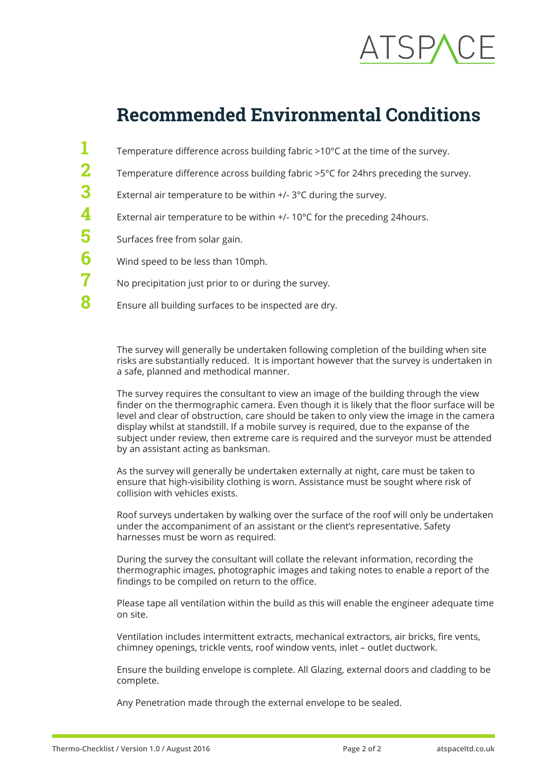## **Recommended Environmental Conditions**

Temperature difference across building fabric >10°C at the time of the survey. Temperature difference across building fabric >5°C for 24hrs preceding the survey. External air temperature to be within +/- 3°C during the survey. External air temperature to be within +/- 10°C for the preceding 24hours. Surfaces free from solar gain. Wind speed to be less than 10mph. No precipitation just prior to or during the survey. Ensure all building surfaces to be inspected are dry. **1 2 3 4 5 6 7 8**

The survey will generally be undertaken following completion of the building when site risks are substantially reduced. It is important however that the survey is undertaken in a safe, planned and methodical manner.

The survey requires the consultant to view an image of the building through the view finder on the thermographic camera. Even though it is likely that the floor surface will be level and clear of obstruction, care should be taken to only view the image in the camera display whilst at standstill. If a mobile survey is required, due to the expanse of the subject under review, then extreme care is required and the surveyor must be attended by an assistant acting as banksman.

As the survey will generally be undertaken externally at night, care must be taken to ensure that high-visibility clothing is worn. Assistance must be sought where risk of collision with vehicles exists.

Roof surveys undertaken by walking over the surface of the roof will only be undertaken under the accompaniment of an assistant or the client's representative. Safety harnesses must be worn as required.

During the survey the consultant will collate the relevant information, recording the thermographic images, photographic images and taking notes to enable a report of the findings to be compiled on return to the office.

Please tape all ventilation within the build as this will enable the engineer adequate time on site.

Ventilation includes intermittent extracts, mechanical extractors, air bricks, fire vents, chimney openings, trickle vents, roof window vents, inlet – outlet ductwork.

Ensure the building envelope is complete. All Glazing, external doors and cladding to be complete.

Any Penetration made through the external envelope to be sealed.